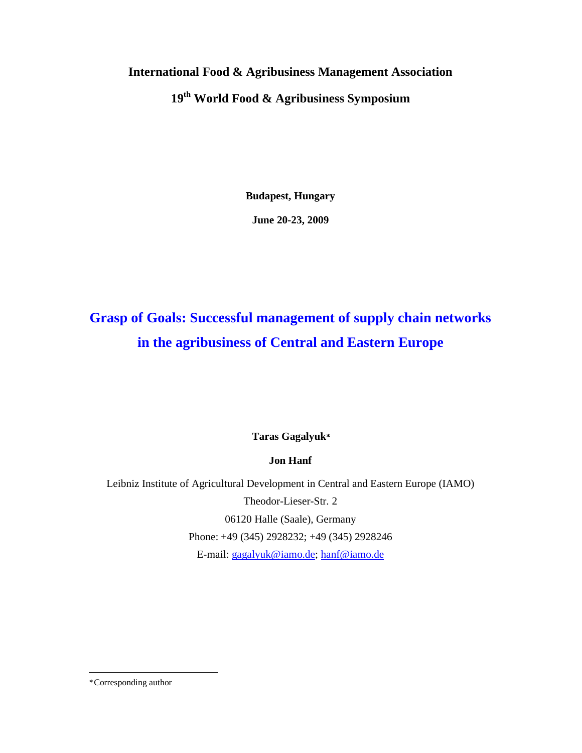# **International Food & Agribusiness Management Association 19th World Food & Agribusiness Symposium**

**Budapest, Hungary** 

**June 20-23, 2009** 

# **Grasp of Goals: Successful management of supply chain networks in the agribusiness of Central and Eastern Europe**

**Taras Gagalyuk**<sup>∗</sup>

**Jon Hanf**

Leibniz Institute of Agricultural Development in Central and Eastern Europe (IAMO) Theodor-Lieser-Str. 2 06120 Halle (Saale), Germany Phone: +49 (345) 2928232; +49 (345) 2928246 E-mail: gagalyuk@iamo.de; hanf@iamo.de

∗ Corresponding author

-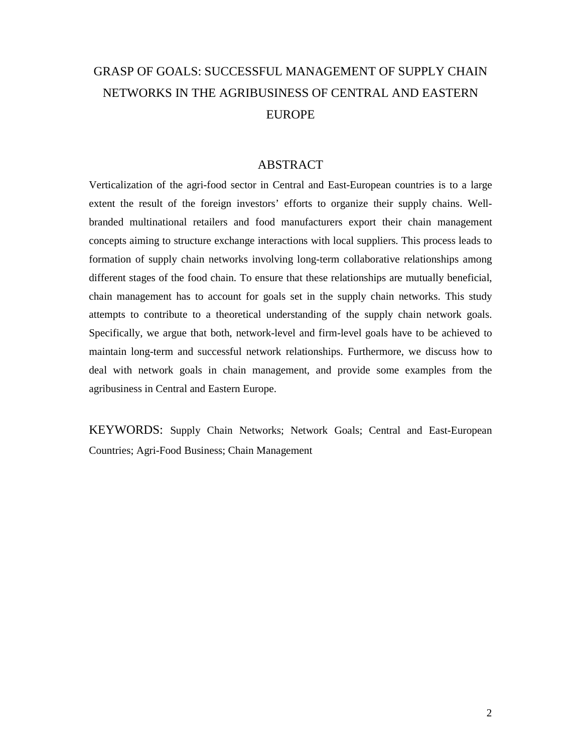## GRASP OF GOALS: SUCCESSFUL MANAGEMENT OF SUPPLY CHAIN NETWORKS IN THE AGRIBUSINESS OF CENTRAL AND EASTERN EUROPE

### ABSTRACT

Verticalization of the agri-food sector in Central and East-European countries is to a large extent the result of the foreign investors' efforts to organize their supply chains. Wellbranded multinational retailers and food manufacturers export their chain management concepts aiming to structure exchange interactions with local suppliers. This process leads to formation of supply chain networks involving long-term collaborative relationships among different stages of the food chain. To ensure that these relationships are mutually beneficial, chain management has to account for goals set in the supply chain networks. This study attempts to contribute to a theoretical understanding of the supply chain network goals. Specifically, we argue that both, network-level and firm-level goals have to be achieved to maintain long-term and successful network relationships. Furthermore, we discuss how to deal with network goals in chain management, and provide some examples from the agribusiness in Central and Eastern Europe.

KEYWORDS: Supply Chain Networks; Network Goals; Central and East-European Countries; Agri-Food Business; Chain Management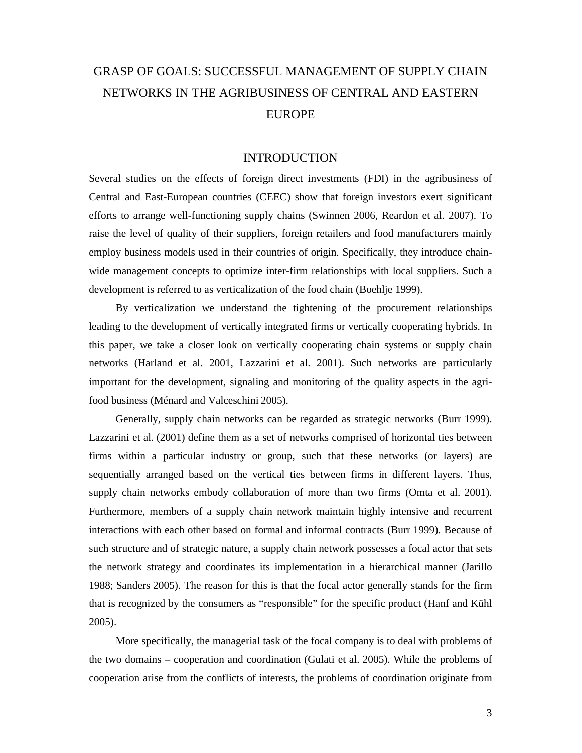## GRASP OF GOALS: SUCCESSFUL MANAGEMENT OF SUPPLY CHAIN NETWORKS IN THE AGRIBUSINESS OF CENTRAL AND EASTERN EUROPE

### INTRODUCTION

Several studies on the effects of foreign direct investments (FDI) in the agribusiness of Central and East-European countries (CEEC) show that foreign investors exert significant efforts to arrange well-functioning supply chains (Swinnen 2006, Reardon et al. 2007). To raise the level of quality of their suppliers, foreign retailers and food manufacturers mainly employ business models used in their countries of origin. Specifically, they introduce chainwide management concepts to optimize inter-firm relationships with local suppliers. Such a development is referred to as verticalization of the food chain (Boehlje 1999).

By verticalization we understand the tightening of the procurement relationships leading to the development of vertically integrated firms or vertically cooperating hybrids. In this paper, we take a closer look on vertically cooperating chain systems or supply chain networks (Harland et al. 2001, Lazzarini et al. 2001). Such networks are particularly important for the development, signaling and monitoring of the quality aspects in the agrifood business (Ménard and Valceschini 2005).

Generally, supply chain networks can be regarded as strategic networks (Burr 1999). Lazzarini et al. (2001) define them as a set of networks comprised of horizontal ties between firms within a particular industry or group, such that these networks (or layers) are sequentially arranged based on the vertical ties between firms in different layers. Thus, supply chain networks embody collaboration of more than two firms (Omta et al. 2001). Furthermore, members of a supply chain network maintain highly intensive and recurrent interactions with each other based on formal and informal contracts (Burr 1999). Because of such structure and of strategic nature, a supply chain network possesses a focal actor that sets the network strategy and coordinates its implementation in a hierarchical manner (Jarillo 1988; Sanders 2005). The reason for this is that the focal actor generally stands for the firm that is recognized by the consumers as "responsible" for the specific product (Hanf and Kühl 2005).

More specifically, the managerial task of the focal company is to deal with problems of the two domains – cooperation and coordination (Gulati et al. 2005). While the problems of cooperation arise from the conflicts of interests, the problems of coordination originate from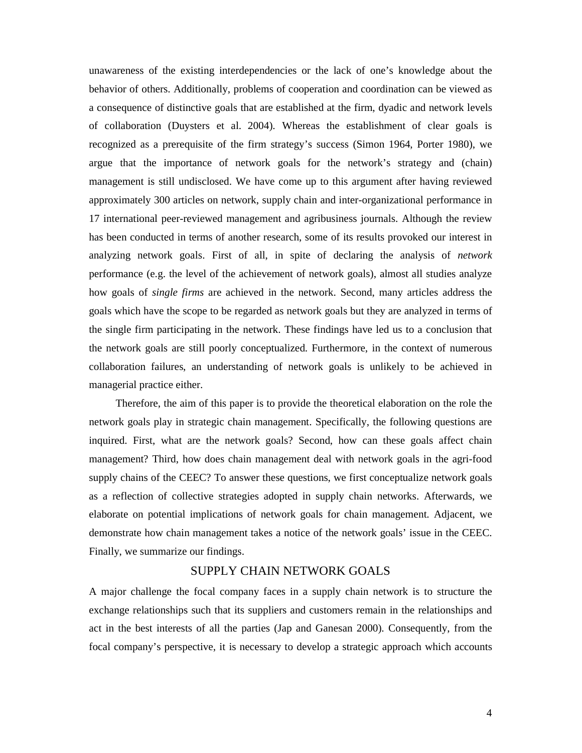unawareness of the existing interdependencies or the lack of one's knowledge about the behavior of others. Additionally, problems of cooperation and coordination can be viewed as a consequence of distinctive goals that are established at the firm, dyadic and network levels of collaboration (Duysters et al. 2004). Whereas the establishment of clear goals is recognized as a prerequisite of the firm strategy's success (Simon 1964, Porter 1980), we argue that the importance of network goals for the network's strategy and (chain) management is still undisclosed. We have come up to this argument after having reviewed approximately 300 articles on network, supply chain and inter-organizational performance in 17 international peer-reviewed management and agribusiness journals. Although the review has been conducted in terms of another research, some of its results provoked our interest in analyzing network goals. First of all, in spite of declaring the analysis of *network* performance (e.g. the level of the achievement of network goals), almost all studies analyze how goals of *single firms* are achieved in the network. Second, many articles address the goals which have the scope to be regarded as network goals but they are analyzed in terms of the single firm participating in the network. These findings have led us to a conclusion that the network goals are still poorly conceptualized. Furthermore, in the context of numerous collaboration failures, an understanding of network goals is unlikely to be achieved in managerial practice either.

Therefore, the aim of this paper is to provide the theoretical elaboration on the role the network goals play in strategic chain management. Specifically, the following questions are inquired. First, what are the network goals? Second, how can these goals affect chain management? Third, how does chain management deal with network goals in the agri-food supply chains of the CEEC? To answer these questions, we first conceptualize network goals as a reflection of collective strategies adopted in supply chain networks. Afterwards, we elaborate on potential implications of network goals for chain management. Adjacent, we demonstrate how chain management takes a notice of the network goals' issue in the CEEC. Finally, we summarize our findings.

### SUPPLY CHAIN NETWORK GOALS

A major challenge the focal company faces in a supply chain network is to structure the exchange relationships such that its suppliers and customers remain in the relationships and act in the best interests of all the parties (Jap and Ganesan 2000). Consequently, from the focal company's perspective, it is necessary to develop a strategic approach which accounts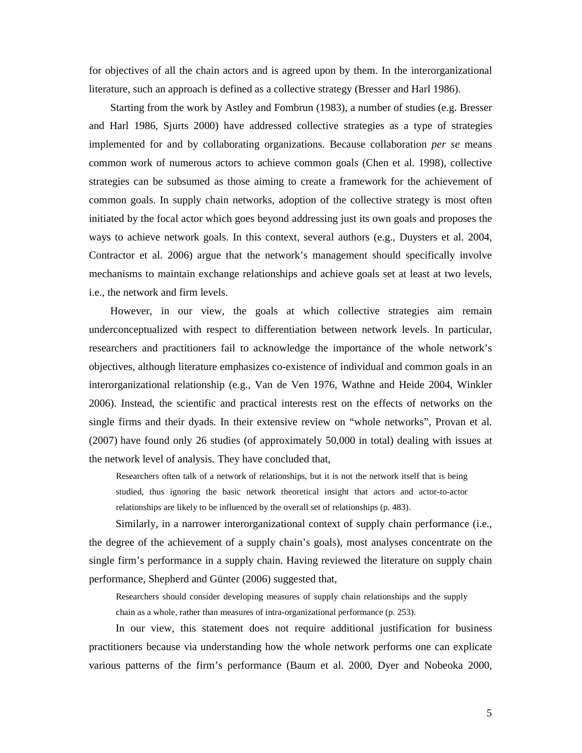for objectives of all the chain actors and is agreed upon by them. In the interorganizational literature, such an approach is defined as a collective strategy (Bresser and Harl 1986).

Starting from the work by Astley and Fombrun (1983), a number of studies (e.g. Bresser and Harl 1986, Sjurts 2000) have addressed collective strategies as a type of strategies implemented for and by collaborating organizations. Because collaboration *per se* means common work of numerous actors to achieve common goals (Chen et al. 1998), collective strategies can be subsumed as those aiming to create a framework for the achievement of common goals. In supply chain networks, adoption of the collective strategy is most often initiated by the focal actor which goes beyond addressing just its own goals and proposes the ways to achieve network goals. In this context, several authors (e.g., Duysters et al. 2004, Contractor et al. 2006) argue that the network's management should specifically involve mechanisms to maintain exchange relationships and achieve goals set at least at two levels, i.e., the network and firm levels.

However, in our view, the goals at which collective strategies aim remain underconceptualized with respect to differentiation between network levels. In particular, researchers and practitioners fail to acknowledge the importance of the whole network's objectives, although literature emphasizes co-existence of individual and common goals in an interorganizational relationship (e.g., Van de Ven 1976, Wathne and Heide 2004, Winkler 2006). Instead, the scientific and practical interests rest on the effects of networks on the single firms and their dyads. In their extensive review on "whole networks", Provan et al. (2007) have found only 26 studies (of approximately 50,000 in total) dealing with issues at the network level of analysis. They have concluded that,

Researchers often talk of a network of relationships, but it is not the network itself that is being studied, thus ignoring the basic network theoretical insight that actors and actor-to-actor relationships are likely to be influenced by the overall set of relationships (p. 483).

Similarly, in a narrower interorganizational context of supply chain performance (i.e., the degree of the achievement of a supply chain's goals), most analyses concentrate on the single firm's performance in a supply chain. Having reviewed the literature on supply chain performance, Shepherd and Günter (2006) suggested that,

Researchers should consider developing measures of supply chain relationships and the supply chain as a whole, rather than measures of intra-organizational performance (p. 253).

In our view, this statement does not require additional justification for business practitioners because via understanding how the whole network performs one can explicate various patterns of the firm's performance (Baum et al. 2000, Dyer and Nobeoka 2000,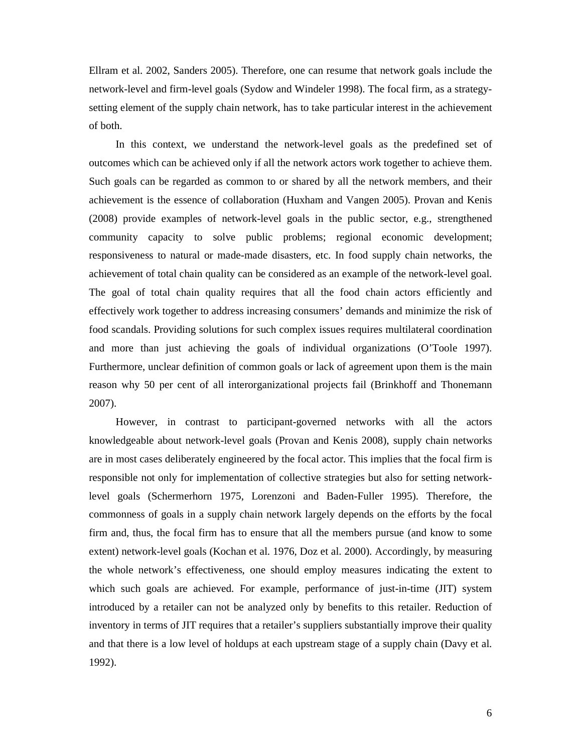Ellram et al. 2002, Sanders 2005). Therefore, one can resume that network goals include the network-level and firm-level goals (Sydow and Windeler 1998). The focal firm, as a strategysetting element of the supply chain network, has to take particular interest in the achievement of both.

In this context, we understand the network-level goals as the predefined set of outcomes which can be achieved only if all the network actors work together to achieve them. Such goals can be regarded as common to or shared by all the network members, and their achievement is the essence of collaboration (Huxham and Vangen 2005). Provan and Kenis (2008) provide examples of network-level goals in the public sector, e.g., strengthened community capacity to solve public problems; regional economic development; responsiveness to natural or made-made disasters, etc. In food supply chain networks, the achievement of total chain quality can be considered as an example of the network-level goal. The goal of total chain quality requires that all the food chain actors efficiently and effectively work together to address increasing consumers' demands and minimize the risk of food scandals. Providing solutions for such complex issues requires multilateral coordination and more than just achieving the goals of individual organizations (O'Toole 1997). Furthermore, unclear definition of common goals or lack of agreement upon them is the main reason why 50 per cent of all interorganizational projects fail (Brinkhoff and Thonemann 2007).

However, in contrast to participant-governed networks with all the actors knowledgeable about network-level goals (Provan and Kenis 2008), supply chain networks are in most cases deliberately engineered by the focal actor. This implies that the focal firm is responsible not only for implementation of collective strategies but also for setting networklevel goals (Schermerhorn 1975, Lorenzoni and Baden-Fuller 1995). Therefore, the commonness of goals in a supply chain network largely depends on the efforts by the focal firm and, thus, the focal firm has to ensure that all the members pursue (and know to some extent) network-level goals (Kochan et al. 1976, Doz et al. 2000). Accordingly, by measuring the whole network's effectiveness, one should employ measures indicating the extent to which such goals are achieved. For example, performance of just-in-time (JIT) system introduced by a retailer can not be analyzed only by benefits to this retailer. Reduction of inventory in terms of JIT requires that a retailer's suppliers substantially improve their quality and that there is a low level of holdups at each upstream stage of a supply chain (Davy et al. 1992).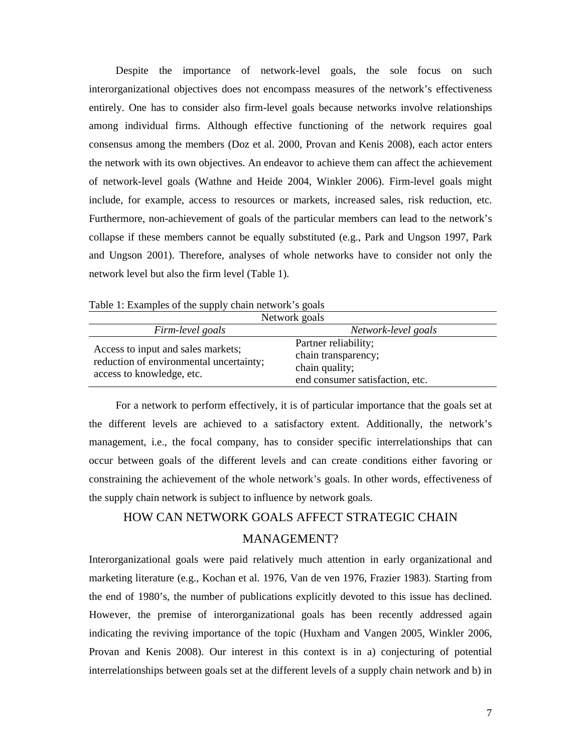Despite the importance of network-level goals, the sole focus on such interorganizational objectives does not encompass measures of the network's effectiveness entirely. One has to consider also firm-level goals because networks involve relationships among individual firms. Although effective functioning of the network requires goal consensus among the members (Doz et al. 2000, Provan and Kenis 2008), each actor enters the network with its own objectives. An endeavor to achieve them can affect the achievement of network-level goals (Wathne and Heide 2004, Winkler 2006). Firm-level goals might include, for example, access to resources or markets, increased sales, risk reduction, etc. Furthermore, non-achievement of goals of the particular members can lead to the network's collapse if these members cannot be equally substituted (e.g., Park and Ungson 1997, Park and Ungson 2001). Therefore, analyses of whole networks have to consider not only the network level but also the firm level (Table 1).

Table 1: Examples of the supply chain network's goals

| Network goals                                                                                              |                                                                                                  |  |
|------------------------------------------------------------------------------------------------------------|--------------------------------------------------------------------------------------------------|--|
| Firm-level goals                                                                                           | Network-level goals                                                                              |  |
| Access to input and sales markets;<br>reduction of environmental uncertainty;<br>access to knowledge, etc. | Partner reliability;<br>chain transparency;<br>chain quality;<br>end consumer satisfaction, etc. |  |

For a network to perform effectively, it is of particular importance that the goals set at the different levels are achieved to a satisfactory extent. Additionally, the network's management, i.e., the focal company, has to consider specific interrelationships that can occur between goals of the different levels and can create conditions either favoring or constraining the achievement of the whole network's goals. In other words, effectiveness of the supply chain network is subject to influence by network goals.

### HOW CAN NETWORK GOALS AFFECT STRATEGIC CHAIN MANAGEMENT?

Interorganizational goals were paid relatively much attention in early organizational and marketing literature (e.g., Kochan et al. 1976, Van de ven 1976, Frazier 1983). Starting from the end of 1980's, the number of publications explicitly devoted to this issue has declined. However, the premise of interorganizational goals has been recently addressed again indicating the reviving importance of the topic (Huxham and Vangen 2005, Winkler 2006, Provan and Kenis 2008). Our interest in this context is in a) conjecturing of potential interrelationships between goals set at the different levels of a supply chain network and b) in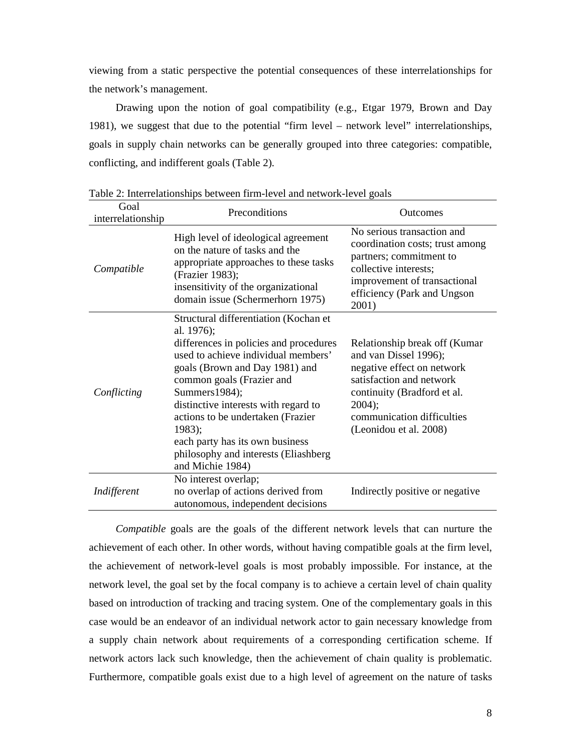viewing from a static perspective the potential consequences of these interrelationships for the network's management.

Drawing upon the notion of goal compatibility (e.g., Etgar 1979, Brown and Day 1981), we suggest that due to the potential "firm level – network level" interrelationships, goals in supply chain networks can be generally grouped into three categories: compatible, conflicting, and indifferent goals (Table 2).

| Goal<br>interrelationship | Preconditions                                                                                                                                                                                                                                                                                                                                                                                               | <b>Outcomes</b>                                                                                                                                                                                                   |
|---------------------------|-------------------------------------------------------------------------------------------------------------------------------------------------------------------------------------------------------------------------------------------------------------------------------------------------------------------------------------------------------------------------------------------------------------|-------------------------------------------------------------------------------------------------------------------------------------------------------------------------------------------------------------------|
| Compatible                | High level of ideological agreement<br>on the nature of tasks and the<br>appropriate approaches to these tasks<br>(Frazier 1983);<br>insensitivity of the organizational<br>domain issue (Schermerhorn 1975)                                                                                                                                                                                                | No serious transaction and<br>coordination costs; trust among<br>partners; commitment to<br>collective interests;<br>improvement of transactional<br>efficiency (Park and Ungson<br>2001)                         |
| Conflicting               | Structural differentiation (Kochan et<br>al. 1976);<br>differences in policies and procedures<br>used to achieve individual members'<br>goals (Brown and Day 1981) and<br>common goals (Frazier and<br>Summers1984);<br>distinctive interests with regard to<br>actions to be undertaken (Frazier<br>1983);<br>each party has its own business<br>philosophy and interests (Eliashberg)<br>and Michie 1984) | Relationship break off (Kumar<br>and van Dissel 1996);<br>negative effect on network<br>satisfaction and network<br>continuity (Bradford et al.<br>2004);<br>communication difficulties<br>(Leonidou et al. 2008) |
| Indifferent               | No interest overlap;<br>no overlap of actions derived from<br>autonomous, independent decisions                                                                                                                                                                                                                                                                                                             | Indirectly positive or negative                                                                                                                                                                                   |

Table 2: Interrelationships between firm-level and network-level goals

*Compatible* goals are the goals of the different network levels that can nurture the achievement of each other. In other words, without having compatible goals at the firm level, the achievement of network-level goals is most probably impossible. For instance, at the network level, the goal set by the focal company is to achieve a certain level of chain quality based on introduction of tracking and tracing system. One of the complementary goals in this case would be an endeavor of an individual network actor to gain necessary knowledge from a supply chain network about requirements of a corresponding certification scheme. If network actors lack such knowledge, then the achievement of chain quality is problematic. Furthermore, compatible goals exist due to a high level of agreement on the nature of tasks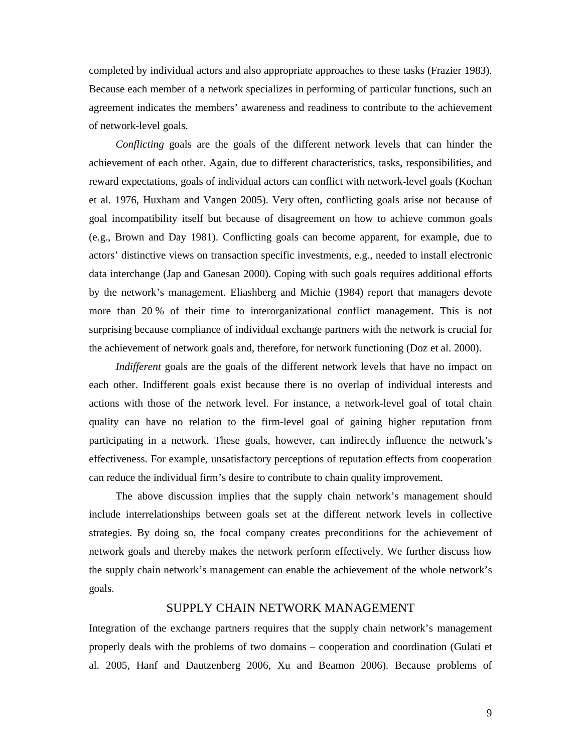completed by individual actors and also appropriate approaches to these tasks (Frazier 1983). Because each member of a network specializes in performing of particular functions, such an agreement indicates the members' awareness and readiness to contribute to the achievement of network-level goals.

*Conflicting* goals are the goals of the different network levels that can hinder the achievement of each other. Again, due to different characteristics, tasks, responsibilities, and reward expectations, goals of individual actors can conflict with network-level goals (Kochan et al. 1976, Huxham and Vangen 2005). Very often, conflicting goals arise not because of goal incompatibility itself but because of disagreement on how to achieve common goals (e.g., Brown and Day 1981). Conflicting goals can become apparent, for example, due to actors' distinctive views on transaction specific investments, e.g., needed to install electronic data interchange (Jap and Ganesan 2000). Coping with such goals requires additional efforts by the network's management. Eliashberg and Michie (1984) report that managers devote more than 20 % of their time to interorganizational conflict management. This is not surprising because compliance of individual exchange partners with the network is crucial for the achievement of network goals and, therefore, for network functioning (Doz et al. 2000).

*Indifferent* goals are the goals of the different network levels that have no impact on each other. Indifferent goals exist because there is no overlap of individual interests and actions with those of the network level. For instance, a network-level goal of total chain quality can have no relation to the firm-level goal of gaining higher reputation from participating in a network. These goals, however, can indirectly influence the network's effectiveness. For example, unsatisfactory perceptions of reputation effects from cooperation can reduce the individual firm's desire to contribute to chain quality improvement.

The above discussion implies that the supply chain network's management should include interrelationships between goals set at the different network levels in collective strategies. By doing so, the focal company creates preconditions for the achievement of network goals and thereby makes the network perform effectively. We further discuss how the supply chain network's management can enable the achievement of the whole network's goals.

### SUPPLY CHAIN NETWORK MANAGEMENT

Integration of the exchange partners requires that the supply chain network's management properly deals with the problems of two domains – cooperation and coordination (Gulati et al. 2005, Hanf and Dautzenberg 2006, Xu and Beamon 2006). Because problems of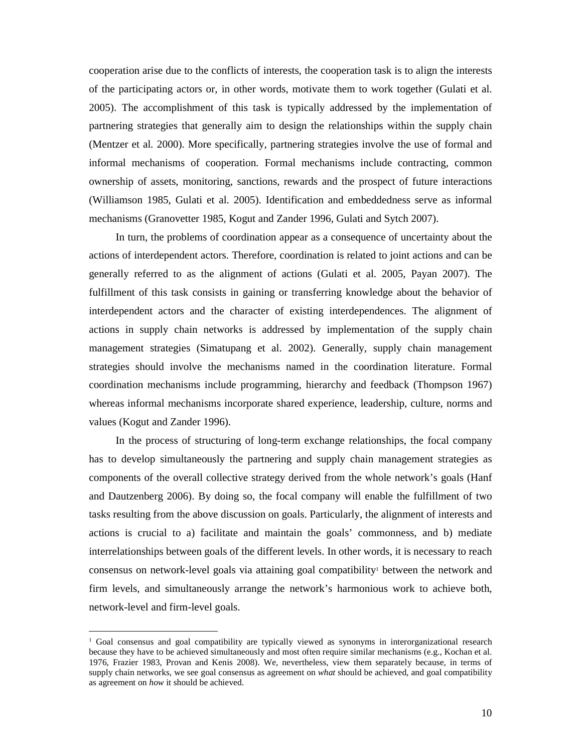cooperation arise due to the conflicts of interests, the cooperation task is to align the interests of the participating actors or, in other words, motivate them to work together (Gulati et al. 2005). The accomplishment of this task is typically addressed by the implementation of partnering strategies that generally aim to design the relationships within the supply chain (Mentzer et al. 2000). More specifically, partnering strategies involve the use of formal and informal mechanisms of cooperation. Formal mechanisms include contracting, common ownership of assets, monitoring, sanctions, rewards and the prospect of future interactions (Williamson 1985, Gulati et al. 2005). Identification and embeddedness serve as informal mechanisms (Granovetter 1985, Kogut and Zander 1996, Gulati and Sytch 2007).

In turn, the problems of coordination appear as a consequence of uncertainty about the actions of interdependent actors. Therefore, coordination is related to joint actions and can be generally referred to as the alignment of actions (Gulati et al. 2005, Payan 2007). The fulfillment of this task consists in gaining or transferring knowledge about the behavior of interdependent actors and the character of existing interdependences. The alignment of actions in supply chain networks is addressed by implementation of the supply chain management strategies (Simatupang et al. 2002). Generally, supply chain management strategies should involve the mechanisms named in the coordination literature. Formal coordination mechanisms include programming, hierarchy and feedback (Thompson 1967) whereas informal mechanisms incorporate shared experience, leadership, culture, norms and values (Kogut and Zander 1996).

In the process of structuring of long-term exchange relationships, the focal company has to develop simultaneously the partnering and supply chain management strategies as components of the overall collective strategy derived from the whole network's goals (Hanf and Dautzenberg 2006). By doing so, the focal company will enable the fulfillment of two tasks resulting from the above discussion on goals. Particularly, the alignment of interests and actions is crucial to a) facilitate and maintain the goals' commonness, and b) mediate interrelationships between goals of the different levels. In other words, it is necessary to reach consensus on network-level goals via attaining goal compatibility<sup>1</sup> between the network and firm levels, and simultaneously arrange the network's harmonious work to achieve both, network-level and firm-level goals.

-

<sup>1</sup> Goal consensus and goal compatibility are typically viewed as synonyms in interorganizational research because they have to be achieved simultaneously and most often require similar mechanisms (e.g., Kochan et al. 1976, Frazier 1983, Provan and Kenis 2008). We, nevertheless, view them separately because, in terms of supply chain networks, we see goal consensus as agreement on *what* should be achieved, and goal compatibility as agreement on *how* it should be achieved.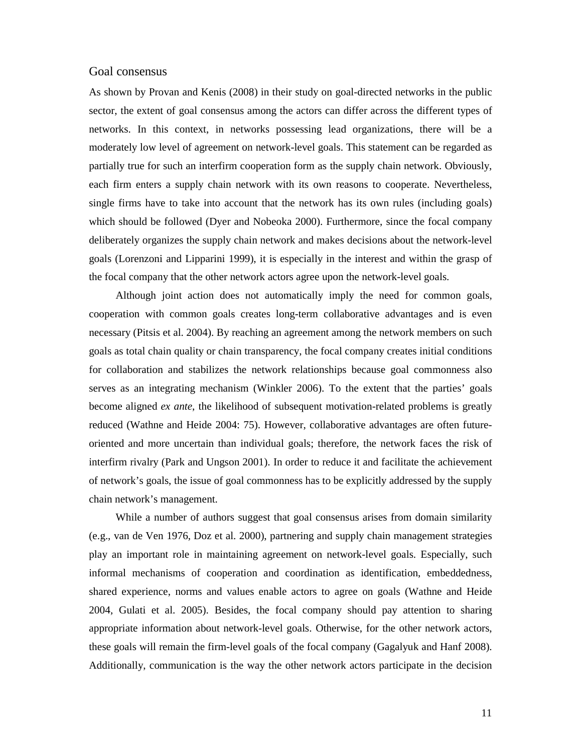#### Goal consensus

As shown by Provan and Kenis (2008) in their study on goal-directed networks in the public sector, the extent of goal consensus among the actors can differ across the different types of networks. In this context, in networks possessing lead organizations, there will be a moderately low level of agreement on network-level goals. This statement can be regarded as partially true for such an interfirm cooperation form as the supply chain network. Obviously, each firm enters a supply chain network with its own reasons to cooperate. Nevertheless, single firms have to take into account that the network has its own rules (including goals) which should be followed (Dyer and Nobeoka 2000). Furthermore, since the focal company deliberately organizes the supply chain network and makes decisions about the network-level goals (Lorenzoni and Lipparini 1999), it is especially in the interest and within the grasp of the focal company that the other network actors agree upon the network-level goals.

Although joint action does not automatically imply the need for common goals, cooperation with common goals creates long-term collaborative advantages and is even necessary (Pitsis et al. 2004). By reaching an agreement among the network members on such goals as total chain quality or chain transparency, the focal company creates initial conditions for collaboration and stabilizes the network relationships because goal commonness also serves as an integrating mechanism (Winkler 2006). To the extent that the parties' goals become aligned *ex ante*, the likelihood of subsequent motivation-related problems is greatly reduced (Wathne and Heide 2004: 75). However, collaborative advantages are often futureoriented and more uncertain than individual goals; therefore, the network faces the risk of interfirm rivalry (Park and Ungson 2001). In order to reduce it and facilitate the achievement of network's goals, the issue of goal commonness has to be explicitly addressed by the supply chain network's management.

While a number of authors suggest that goal consensus arises from domain similarity (e.g., van de Ven 1976, Doz et al. 2000), partnering and supply chain management strategies play an important role in maintaining agreement on network-level goals. Especially, such informal mechanisms of cooperation and coordination as identification, embeddedness, shared experience, norms and values enable actors to agree on goals (Wathne and Heide 2004, Gulati et al. 2005). Besides, the focal company should pay attention to sharing appropriate information about network-level goals. Otherwise, for the other network actors, these goals will remain the firm-level goals of the focal company (Gagalyuk and Hanf 2008). Additionally, communication is the way the other network actors participate in the decision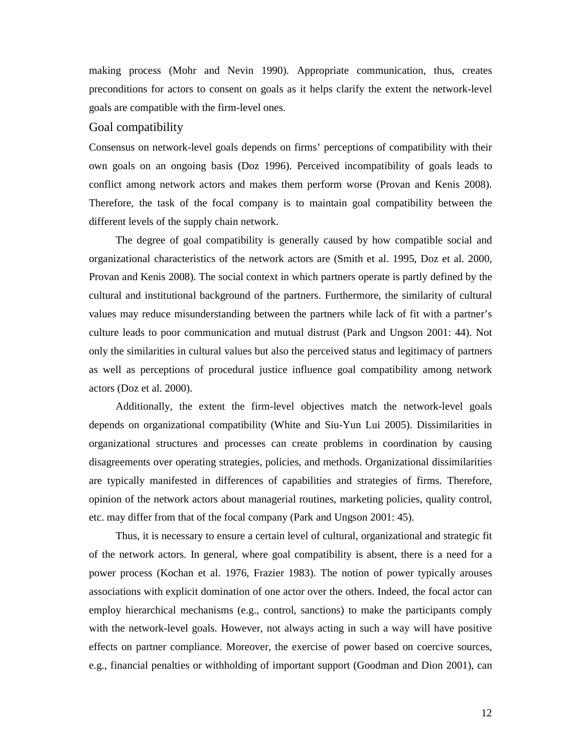making process (Mohr and Nevin 1990). Appropriate communication, thus, creates preconditions for actors to consent on goals as it helps clarify the extent the network-level goals are compatible with the firm-level ones.

### Goal compatibility

Consensus on network-level goals depends on firms' perceptions of compatibility with their own goals on an ongoing basis (Doz 1996). Perceived incompatibility of goals leads to conflict among network actors and makes them perform worse (Provan and Kenis 2008). Therefore, the task of the focal company is to maintain goal compatibility between the different levels of the supply chain network.

The degree of goal compatibility is generally caused by how compatible social and organizational characteristics of the network actors are (Smith et al. 1995, Doz et al. 2000, Provan and Kenis 2008). The social context in which partners operate is partly defined by the cultural and institutional background of the partners. Furthermore, the similarity of cultural values may reduce misunderstanding between the partners while lack of fit with a partner's culture leads to poor communication and mutual distrust (Park and Ungson 2001: 44). Not only the similarities in cultural values but also the perceived status and legitimacy of partners as well as perceptions of procedural justice influence goal compatibility among network actors (Doz et al. 2000).

Additionally, the extent the firm-level objectives match the network-level goals depends on organizational compatibility (White and Siu-Yun Lui 2005). Dissimilarities in organizational structures and processes can create problems in coordination by causing disagreements over operating strategies, policies, and methods. Organizational dissimilarities are typically manifested in differences of capabilities and strategies of firms. Therefore, opinion of the network actors about managerial routines, marketing policies, quality control, etc. may differ from that of the focal company (Park and Ungson 2001: 45).

Thus, it is necessary to ensure a certain level of cultural, organizational and strategic fit of the network actors. In general, where goal compatibility is absent, there is a need for a power process (Kochan et al. 1976, Frazier 1983). The notion of power typically arouses associations with explicit domination of one actor over the others. Indeed, the focal actor can employ hierarchical mechanisms (e.g., control, sanctions) to make the participants comply with the network-level goals. However, not always acting in such a way will have positive effects on partner compliance. Moreover, the exercise of power based on coercive sources, e.g., financial penalties or withholding of important support (Goodman and Dion 2001), can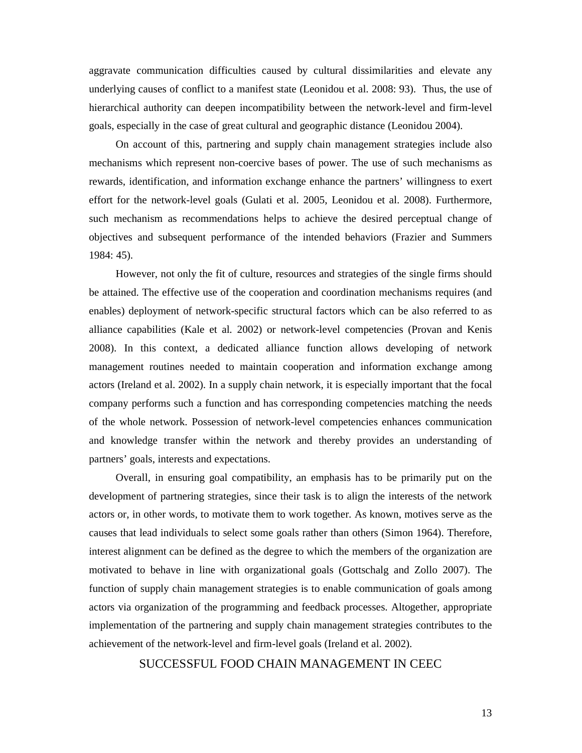aggravate communication difficulties caused by cultural dissimilarities and elevate any underlying causes of conflict to a manifest state (Leonidou et al. 2008: 93). Thus, the use of hierarchical authority can deepen incompatibility between the network-level and firm-level goals, especially in the case of great cultural and geographic distance (Leonidou 2004).

On account of this, partnering and supply chain management strategies include also mechanisms which represent non-coercive bases of power. The use of such mechanisms as rewards, identification, and information exchange enhance the partners' willingness to exert effort for the network-level goals (Gulati et al. 2005, Leonidou et al. 2008). Furthermore, such mechanism as recommendations helps to achieve the desired perceptual change of objectives and subsequent performance of the intended behaviors (Frazier and Summers 1984: 45).

However, not only the fit of culture, resources and strategies of the single firms should be attained. The effective use of the cooperation and coordination mechanisms requires (and enables) deployment of network-specific structural factors which can be also referred to as alliance capabilities (Kale et al. 2002) or network-level competencies (Provan and Kenis 2008). In this context, a dedicated alliance function allows developing of network management routines needed to maintain cooperation and information exchange among actors (Ireland et al. 2002). In a supply chain network, it is especially important that the focal company performs such a function and has corresponding competencies matching the needs of the whole network. Possession of network-level competencies enhances communication and knowledge transfer within the network and thereby provides an understanding of partners' goals, interests and expectations.

Overall, in ensuring goal compatibility, an emphasis has to be primarily put on the development of partnering strategies, since their task is to align the interests of the network actors or, in other words, to motivate them to work together. As known, motives serve as the causes that lead individuals to select some goals rather than others (Simon 1964). Therefore, interest alignment can be defined as the degree to which the members of the organization are motivated to behave in line with organizational goals (Gottschalg and Zollo 2007). The function of supply chain management strategies is to enable communication of goals among actors via organization of the programming and feedback processes. Altogether, appropriate implementation of the partnering and supply chain management strategies contributes to the achievement of the network-level and firm-level goals (Ireland et al. 2002).

### SUCCESSFUL FOOD CHAIN MANAGEMENT IN CEEC

13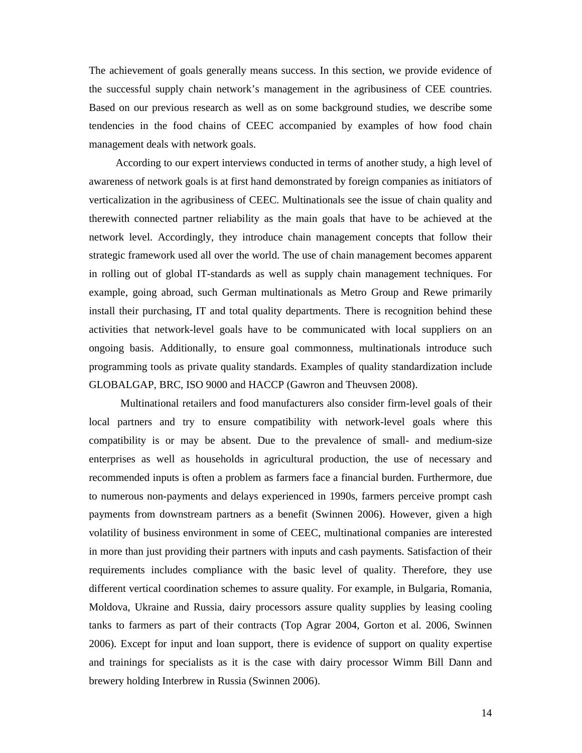The achievement of goals generally means success. In this section, we provide evidence of the successful supply chain network's management in the agribusiness of CEE countries. Based on our previous research as well as on some background studies, we describe some tendencies in the food chains of CEEC accompanied by examples of how food chain management deals with network goals.

According to our expert interviews conducted in terms of another study, a high level of awareness of network goals is at first hand demonstrated by foreign companies as initiators of verticalization in the agribusiness of CEEC. Multinationals see the issue of chain quality and therewith connected partner reliability as the main goals that have to be achieved at the network level. Accordingly, they introduce chain management concepts that follow their strategic framework used all over the world. The use of chain management becomes apparent in rolling out of global IT-standards as well as supply chain management techniques. For example, going abroad, such German multinationals as Metro Group and Rewe primarily install their purchasing, IT and total quality departments. There is recognition behind these activities that network-level goals have to be communicated with local suppliers on an ongoing basis. Additionally, to ensure goal commonness, multinationals introduce such programming tools as private quality standards. Examples of quality standardization include GLOBALGAP, BRC, ISO 9000 and HACCP (Gawron and Theuvsen 2008).

Multinational retailers and food manufacturers also consider firm-level goals of their local partners and try to ensure compatibility with network-level goals where this compatibility is or may be absent. Due to the prevalence of small- and medium-size enterprises as well as households in agricultural production, the use of necessary and recommended inputs is often a problem as farmers face a financial burden. Furthermore, due to numerous non-payments and delays experienced in 1990s, farmers perceive prompt cash payments from downstream partners as a benefit (Swinnen 2006). However, given a high volatility of business environment in some of CEEC, multinational companies are interested in more than just providing their partners with inputs and cash payments. Satisfaction of their requirements includes compliance with the basic level of quality. Therefore, they use different vertical coordination schemes to assure quality. For example, in Bulgaria, Romania, Moldova, Ukraine and Russia, dairy processors assure quality supplies by leasing cooling tanks to farmers as part of their contracts (Top Agrar 2004, Gorton et al. 2006, Swinnen 2006). Except for input and loan support, there is evidence of support on quality expertise and trainings for specialists as it is the case with dairy processor Wimm Bill Dann and brewery holding Interbrew in Russia (Swinnen 2006).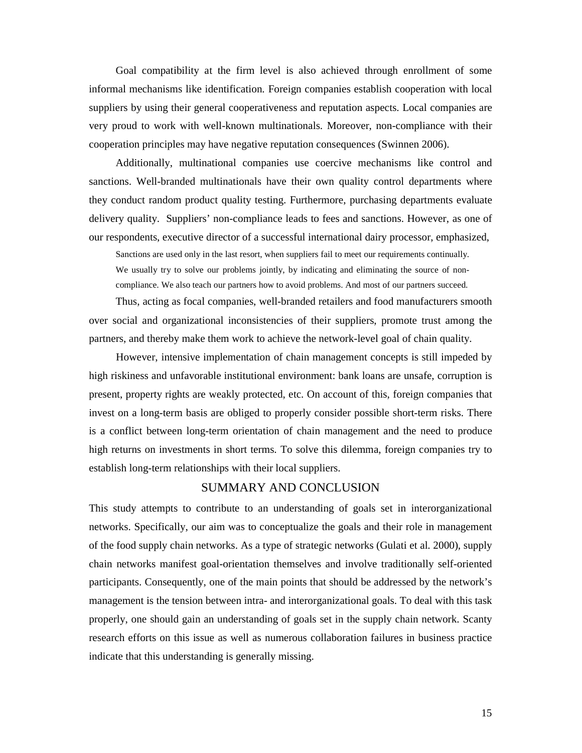Goal compatibility at the firm level is also achieved through enrollment of some informal mechanisms like identification. Foreign companies establish cooperation with local suppliers by using their general cooperativeness and reputation aspects. Local companies are very proud to work with well-known multinationals. Moreover, non-compliance with their cooperation principles may have negative reputation consequences (Swinnen 2006).

Additionally, multinational companies use coercive mechanisms like control and sanctions. Well-branded multinationals have their own quality control departments where they conduct random product quality testing. Furthermore, purchasing departments evaluate delivery quality. Suppliers' non-compliance leads to fees and sanctions. However, as one of our respondents, executive director of a successful international dairy processor, emphasized,

Sanctions are used only in the last resort, when suppliers fail to meet our requirements continually. We usually try to solve our problems jointly, by indicating and eliminating the source of noncompliance. We also teach our partners how to avoid problems. And most of our partners succeed.

Thus, acting as focal companies, well-branded retailers and food manufacturers smooth over social and organizational inconsistencies of their suppliers, promote trust among the partners, and thereby make them work to achieve the network-level goal of chain quality.

However, intensive implementation of chain management concepts is still impeded by high riskiness and unfavorable institutional environment: bank loans are unsafe, corruption is present, property rights are weakly protected, etc. On account of this, foreign companies that invest on a long-term basis are obliged to properly consider possible short-term risks. There is a conflict between long-term orientation of chain management and the need to produce high returns on investments in short terms. To solve this dilemma, foreign companies try to establish long-term relationships with their local suppliers.

### SUMMARY AND CONCLUSION

This study attempts to contribute to an understanding of goals set in interorganizational networks. Specifically, our aim was to conceptualize the goals and their role in management of the food supply chain networks. As a type of strategic networks (Gulati et al. 2000), supply chain networks manifest goal-orientation themselves and involve traditionally self-oriented participants. Consequently, one of the main points that should be addressed by the network's management is the tension between intra- and interorganizational goals. To deal with this task properly, one should gain an understanding of goals set in the supply chain network. Scanty research efforts on this issue as well as numerous collaboration failures in business practice indicate that this understanding is generally missing.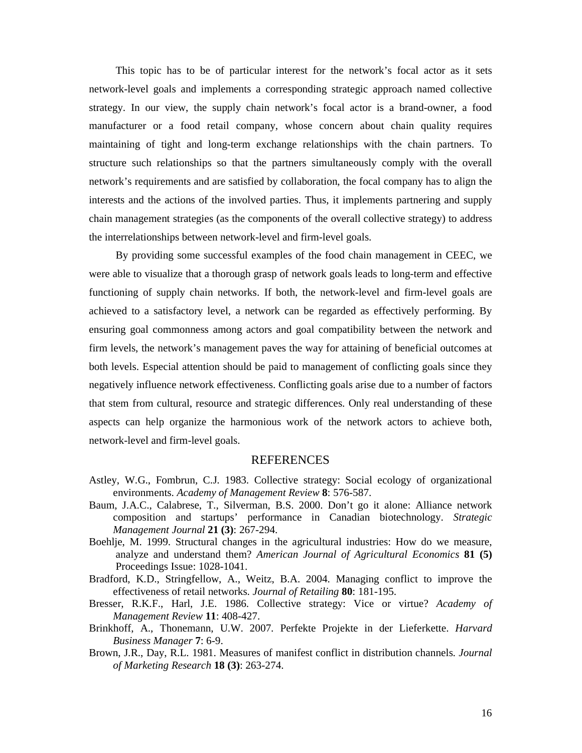This topic has to be of particular interest for the network's focal actor as it sets network-level goals and implements a corresponding strategic approach named collective strategy. In our view, the supply chain network's focal actor is a brand-owner, a food manufacturer or a food retail company, whose concern about chain quality requires maintaining of tight and long-term exchange relationships with the chain partners. To structure such relationships so that the partners simultaneously comply with the overall network's requirements and are satisfied by collaboration, the focal company has to align the interests and the actions of the involved parties. Thus, it implements partnering and supply chain management strategies (as the components of the overall collective strategy) to address the interrelationships between network-level and firm-level goals.

By providing some successful examples of the food chain management in CEEC, we were able to visualize that a thorough grasp of network goals leads to long-term and effective functioning of supply chain networks. If both, the network-level and firm-level goals are achieved to a satisfactory level, a network can be regarded as effectively performing. By ensuring goal commonness among actors and goal compatibility between the network and firm levels, the network's management paves the way for attaining of beneficial outcomes at both levels. Especial attention should be paid to management of conflicting goals since they negatively influence network effectiveness. Conflicting goals arise due to a number of factors that stem from cultural, resource and strategic differences. Only real understanding of these aspects can help organize the harmonious work of the network actors to achieve both, network-level and firm-level goals.

### REFERENCES

- Astley, W.G., Fombrun, C.J. 1983. Collective strategy: Social ecology of organizational environments. *Academy of Management Review* **8**: 576-587.
- Baum, J.A.C., Calabrese, T., Silverman, B.S. 2000. Don't go it alone: Alliance network composition and startups' performance in Canadian biotechnology. *Strategic Management Journal* **21 (3)**: 267-294.
- Boehlje, M. 1999. Structural changes in the agricultural industries: How do we measure, analyze and understand them? *American Journal of Agricultural Economics* **81 (5)** Proceedings Issue: 1028-1041.
- Bradford, K.D., Stringfellow, A., Weitz, B.A. 2004. Managing conflict to improve the effectiveness of retail networks. *Journal of Retailing* **80**: 181-195.
- Bresser, R.K.F., Harl, J.E. 1986. Collective strategy: Vice or virtue? *Academy of Management Review* **11**: 408-427.
- Brinkhoff, A., Thonemann, U.W. 2007. Perfekte Projekte in der Lieferkette. *Harvard Business Manager* **7**: 6-9.
- Brown, J.R., Day, R.L. 1981. Measures of manifest conflict in distribution channels. *Journal of Marketing Research* **18 (3)**: 263-274.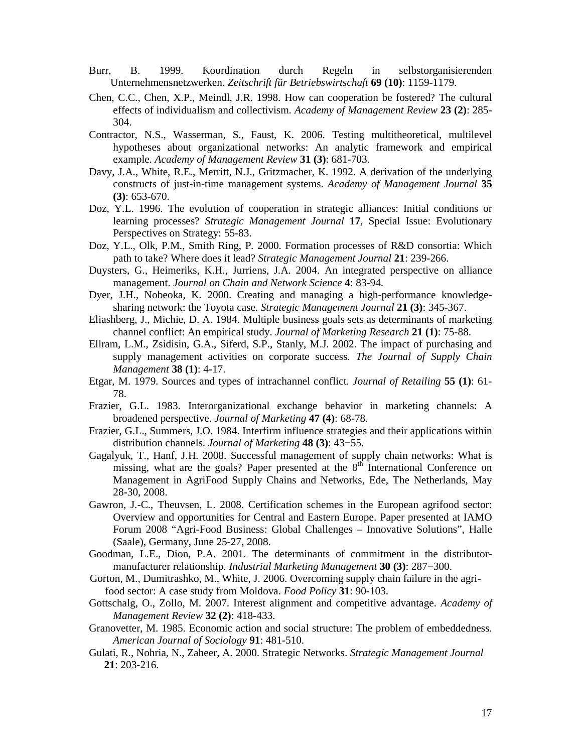- Burr, B. 1999. Koordination durch Regeln in selbstorganisierenden Unternehmensnetzwerken. *Zeitschrift für Betriebswirtschaft* **69 (10)**: 1159-1179.
- Chen, C.C., Chen, X.P., Meindl, J.R. 1998. How can cooperation be fostered? The cultural effects of individualism and collectivism. *Academy of Management Review* **23 (2)**: 285- 304.
- Contractor, N.S., Wasserman, S., Faust, K. 2006. Testing multitheoretical, multilevel hypotheses about organizational networks: An analytic framework and empirical example. *Academy of Management Review* **31 (3)**: 681-703.
- Davy, J.A., White, R.E., Merritt, N.J., Gritzmacher, K. 1992. A derivation of the underlying constructs of just-in-time management systems. *Academy of Management Journal* **35 (3)**: 653-670.
- Doz, Y.L. 1996. The evolution of cooperation in strategic alliances: Initial conditions or learning processes? *Strategic Management Journal* **17**, Special Issue: Evolutionary Perspectives on Strategy: 55-83.
- Doz, Y.L., Olk, P.M., Smith Ring, P. 2000. Formation processes of R&D consortia: Which path to take? Where does it lead? *Strategic Management Journal* **21**: 239-266.
- Duysters, G., Heimeriks, K.H., Jurriens, J.A. 2004. An integrated perspective on alliance management. *Journal on Chain and Network Science* **4**: 83-94.
- Dyer, J.H., Nobeoka, K. 2000. Creating and managing a high-performance knowledgesharing network: the Toyota case. *Strategic Management Journal* **21 (3)**: 345-367.
- Eliashberg, J., Michie, D. A. 1984. Multiple business goals sets as determinants of marketing channel conflict: An empirical study. *Journal of Marketing Research* **21 (1)**: 75-88.
- Ellram, L.M., Zsidisin, G.A., Siferd, S.P., Stanly, M.J. 2002. The impact of purchasing and supply management activities on corporate success. *The Journal of Supply Chain Management* **38 (1)**: 4-17.
- Etgar, M. 1979. Sources and types of intrachannel conflict. *Journal of Retailing* **55 (1)**: 61- 78.
- Frazier, G.L. 1983. Interorganizational exchange behavior in marketing channels: A broadened perspective. *Journal of Marketing* **47 (4)**: 68-78.
- Frazier, G.L., Summers, J.O. 1984. Interfirm influence strategies and their applications within distribution channels. *Journal of Marketing* **48 (3)**: 43−55.
- Gagalyuk, T., Hanf, J.H. 2008. Successful management of supply chain networks: What is missing, what are the goals? Paper presented at the  $8<sup>th</sup>$  International Conference on Management in AgriFood Supply Chains and Networks, Ede, The Netherlands, May 28-30, 2008.
- Gawron, J.-C., Theuvsen, L. 2008. Certification schemes in the European agrifood sector: Overview and opportunities for Central and Eastern Europe. Paper presented at IAMO Forum 2008 "Agri-Food Business: Global Challenges – Innovative Solutions", Halle (Saale), Germany, June 25-27, 2008.
- Goodman, L.E., Dion, P.A. 2001. The determinants of commitment in the distributormanufacturer relationship. *Industrial Marketing Management* **30 (3)**: 287−300.
- Gorton, M., Dumitrashko, M., White, J. 2006. Overcoming supply chain failure in the agrifood sector: A case study from Moldova. *Food Policy* **31**: 90-103.
- Gottschalg, O., Zollo, M. 2007. Interest alignment and competitive advantage. *Academy of Management Review* **32 (2)**: 418-433.
- Granovetter, M. 1985. Economic action and social structure: The problem of embeddedness. *American Journal of Sociology* **91**: 481-510.
- Gulati, R., Nohria, N., Zaheer, A. 2000. Strategic Networks. *Strategic Management Journal* **21**: 203-216.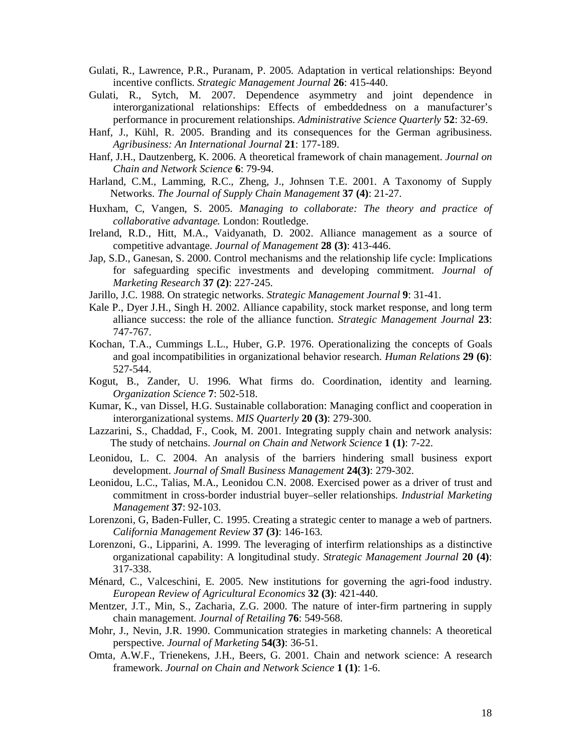- Gulati, R., Lawrence, P.R., Puranam, P. 2005. Adaptation in vertical relationships: Beyond incentive conflicts. *Strategic Management Journal* **26**: 415-440.
- Gulati, R., Sytch, M. 2007. Dependence asymmetry and joint dependence in interorganizational relationships: Effects of embeddedness on a manufacturer's performance in procurement relationships. *Administrative Science Quarterly* **52**: 32-69.
- Hanf, J., Kühl, R. 2005. Branding and its consequences for the German agribusiness. *Agribusiness: An International Journal* **21**: 177-189.
- Hanf, J.H., Dautzenberg, K. 2006. A theoretical framework of chain management. *Journal on Chain and Network Science* **6**: 79-94.
- Harland, C.M., Lamming, R.C., Zheng, J., Johnsen T.E. 2001. A Taxonomy of Supply Networks. *The Journal of Supply Chain Management* **37 (4)**: 21-27.
- Huxham, C, Vangen, S. 2005. *Managing to collaborate: The theory and practice of collaborative advantage.* London: Routledge.
- Ireland, R.D., Hitt, M.A., Vaidyanath, D. 2002. Alliance management as a source of competitive advantage. *Journal of Management* **28 (3)**: 413-446.
- Jap, S.D., Ganesan, S. 2000. Control mechanisms and the relationship life cycle: Implications for safeguarding specific investments and developing commitment. *Journal of Marketing Research* **37 (2)**: 227-245.
- Jarillo, J.C. 1988. On strategic networks. *Strategic Management Journal* **9**: 31-41.
- Kale P., Dyer J.H., Singh H. 2002. Alliance capability, stock market response, and long term alliance success: the role of the alliance function. *Strategic Management Journal* **23**: 747-767.
- Kochan, T.A., Cummings L.L., Huber, G.P. 1976. Operationalizing the concepts of Goals and goal incompatibilities in organizational behavior research. *Human Relations* **29 (6)**: 527-544.
- Kogut, B., Zander, U. 1996. What firms do. Coordination, identity and learning. *Organization Science* **7**: 502-518.
- Kumar, K., van Dissel, H.G. Sustainable collaboration: Managing conflict and cooperation in interorganizational systems. *MIS Quarterly* **20 (3)**: 279-300.
- Lazzarini, S., Chaddad, F., Cook, M. 2001. Integrating supply chain and network analysis: The study of netchains. *Journal on Chain and Network Science* **1 (1)**: 7-22.
- Leonidou, L. C. 2004. An analysis of the barriers hindering small business export development. *Journal of Small Business Management* **24(3)**: 279-302.
- Leonidou, L.C., Talias, M.A., Leonidou C.N. 2008. Exercised power as a driver of trust and commitment in cross-border industrial buyer–seller relationships. *Industrial Marketing Management* **37**: 92-103.
- Lorenzoni, G, Baden-Fuller, C. 1995. Creating a strategic center to manage a web of partners. *California Management Review* **37 (3)**: 146-163.
- Lorenzoni, G., Lipparini, A. 1999. The leveraging of interfirm relationships as a distinctive organizational capability: A longitudinal study. *Strategic Management Journal* **20 (4)**: 317-338.
- Ménard, C., Valceschini, E. 2005. New institutions for governing the agri-food industry. *European Review of Agricultural Economics* **32 (3)**: 421-440.
- Mentzer, J.T., Min, S., Zacharia, Z.G. 2000. The nature of inter-firm partnering in supply chain management. *Journal of Retailing* **76**: 549-568.
- Mohr, J., Nevin, J.R. 1990. Communication strategies in marketing channels: A theoretical perspective. *Journal of Marketing* **54(3)**: 36-51.
- Omta, A.W.F., Trienekens, J.H., Beers, G. 2001. Chain and network science: A research framework. *Journal on Chain and Network Science* **1 (1)**: 1-6.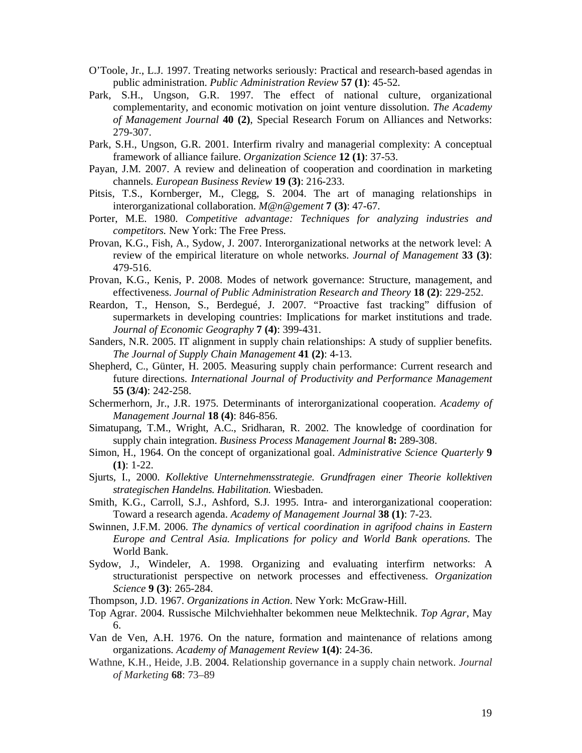- O'Toole, Jr., L.J. 1997. Treating networks seriously: Practical and research-based agendas in public administration. *Public Administration Review* **57 (1)**: 45-52.
- Park, S.H., Ungson, G.R. 1997. The effect of national culture, organizational complementarity, and economic motivation on joint venture dissolution. *The Academy of Management Journal* **40 (2)**, Special Research Forum on Alliances and Networks: 279-307.
- Park, S.H., Ungson, G.R. 2001. Interfirm rivalry and managerial complexity: A conceptual framework of alliance failure. *Organization Science* **12 (1)**: 37-53.
- Payan, J.M. 2007. A review and delineation of cooperation and coordination in marketing channels. *European Business Review* **19 (3)**: 216-233.
- Pitsis, T.S., Kornberger, M., Clegg, S. 2004. The art of managing relationships in interorganizational collaboration. *M@n@gement* **7 (3)**: 47-67.
- Porter, M.E. 1980. *Competitive advantage: Techniques for analyzing industries and competitors.* New York: The Free Press.
- Provan, K.G., Fish, A., Sydow, J. 2007. Interorganizational networks at the network level: A review of the empirical literature on whole networks. *Journal of Management* **33 (3)**: 479-516.
- Provan, K.G., Kenis, P. 2008. Modes of network governance: Structure, management, and effectiveness. *Journal of Public Administration Research and Theory* **18 (2)**: 229-252.
- Reardon, T., Henson, S., Berdegué, J. 2007. "Proactive fast tracking" diffusion of supermarkets in developing countries: Implications for market institutions and trade. *Journal of Economic Geography* **7 (4)**: 399-431.
- Sanders, N.R. 2005. IT alignment in supply chain relationships: A study of supplier benefits. *The Journal of Supply Chain Management* **41 (2)**: 4-13.
- Shepherd, C., Günter, H. 2005. Measuring supply chain performance: Current research and future directions. *International Journal of Productivity and Performance Management* **55 (3/4)**: 242-258.
- Schermerhorn, Jr., J.R. 1975. Determinants of interorganizational cooperation. *Academy of Management Journal* **18 (4)**: 846-856.
- Simatupang, T.M., Wright, A.C., Sridharan, R. 2002. The knowledge of coordination for supply chain integration. *Business Process Management Journal* **8:** 289-308.
- Simon, H., 1964. On the concept of organizational goal. *Administrative Science Quarterly* **9 (1)**: 1-22.
- Sjurts, I., 2000. *Kollektive Unternehmensstrategie. Grundfragen einer Theorie kollektiven strategischen Handelns. Habilitation.* Wiesbaden.
- Smith, K.G., Carroll, S.J., Ashford, S.J. 1995. Intra- and interorganizational cooperation: Toward a research agenda. *Academy of Management Journal* **38 (1)**: 7-23.
- Swinnen, J.F.M. 2006. *The dynamics of vertical coordination in agrifood chains in Eastern Europe and Central Asia. Implications for policy and World Bank operations.* The World Bank.
- Sydow, J., Windeler, A. 1998. Organizing and evaluating interfirm networks: A structurationist perspective on network processes and effectiveness. *Organization Science* **9 (3)**: 265-284.
- Thompson, J.D. 1967. *Organizations in Action*. New York: McGraw-Hill.
- Top Agrar. 2004. Russische Milchviehhalter bekommen neue Melktechnik. *Top Agrar*, May 6.
- Van de Ven, A.H. 1976. On the nature, formation and maintenance of relations among organizations. *Academy of Management Review* **1(4)**: 24-36.
- Wathne, K.H., Heide, J.B. 2004. Relationship governance in a supply chain network. *Journal of Marketing* **68**: 73–89